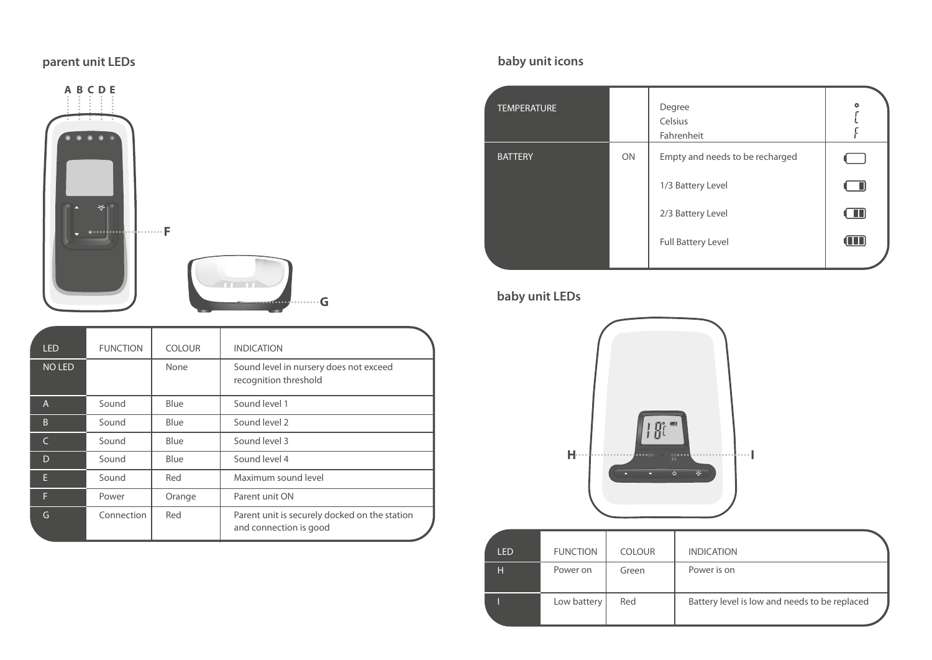# **parent unit LEDs**



| <b>LED</b>    | <b>FUNCTION</b> | <b>COLOUR</b> | <b>INDICATION</b>                                                       |
|---------------|-----------------|---------------|-------------------------------------------------------------------------|
| <b>NO LED</b> |                 | None          | Sound level in nursery does not exceed<br>recognition threshold         |
| A             | Sound           | Blue          | Sound level 1                                                           |
| B             | Sound           | Blue          | Sound level 2                                                           |
| $\epsilon$    | Sound           | Blue          | Sound level 3                                                           |
| D             | Sound           | Blue          | Sound level 4                                                           |
| E             | Sound           | Red           | Maximum sound level                                                     |
| F             | Power           | Orange        | Parent unit ON                                                          |
| G             | Connection      | Red           | Parent unit is securely docked on the station<br>and connection is good |

# **baby unit icons**

| <b>TEMPERATURE</b> |    | Degree<br>Celsius<br>Fahrenheit | $\circ$ |
|--------------------|----|---------------------------------|---------|
| <b>BATTERY</b>     | ON | Empty and needs to be recharged |         |
|                    |    | 1/3 Battery Level               | - 91    |
|                    |    | 2/3 Battery Level               | $\Box$  |
|                    |    | Full Battery Level              | (III)   |
|                    |    |                                 |         |

# **baby unit LEDs**



| <b>LED</b> | <b>FUNCTION</b> | <b>COLOUR</b> | <b>INDICATION</b>                             |
|------------|-----------------|---------------|-----------------------------------------------|
| н          | Power on        | Green         | Power is on                                   |
|            | Low battery     | Red           | Battery level is low and needs to be replaced |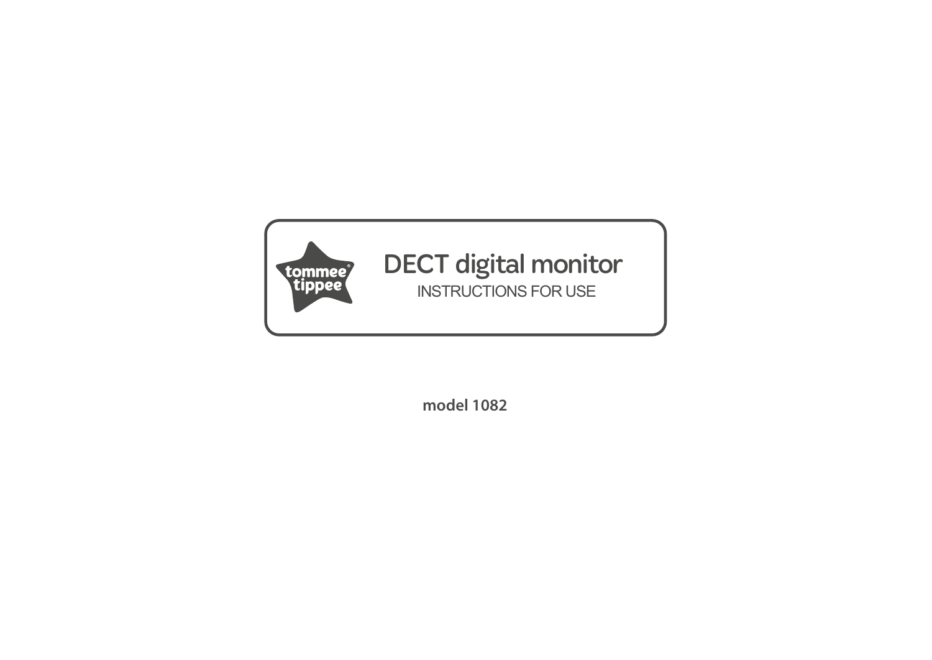

# DECT digital monitor INSTRUCTIONS FOR USE

**model 1082**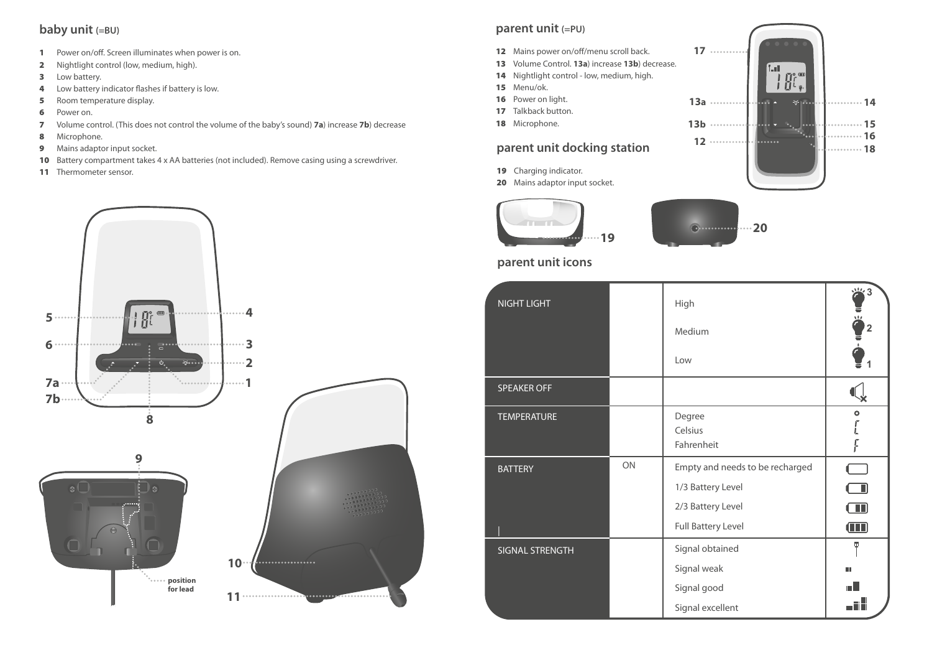### **baby unit (=BU)**

- 1 Power on/off. Screen illuminates when power is on.
- 2 Nightlight control (low, medium, high).
- 3 Low battery.
- 4 Low battery indicator flashes if battery is low.
- **5** Room temperature display.
- 6 Power on.
- 7 Volume control. (This does not control the volume of the baby's sound) **7a**) increase **7b**) decrease
- 8 Microphone.
- 9 Mains adaptor input socket.
- 10 Battery compartment takes 4 x AA batteries (not included). Remove casing using a screwdriver.
- 11 Thermometer sensor.



### **parent unit (=PU)**

- 12 Mains power on/off/menu scroll back.
- 13 Volume Control. **13a**) increase **13b**) decrease.
- 14 Nightlight control low, medium, high.
- 15 Menu/ok.
- 16 Power on light.
- 17 Talkback button.
- 18 Microphone.

### **parent unit docking station**

- 19 Charging indicator.
- 20 Mains adaptor input socket.





### **parent unit icons**

| <b>NIGHT LIGHT</b> |    | High<br>Medium<br>Low                                                                                  | ※3<br>Ť<br>$\overline{2}$                                  |
|--------------------|----|--------------------------------------------------------------------------------------------------------|------------------------------------------------------------|
| <b>SPEAKER OFF</b> |    |                                                                                                        |                                                            |
| <b>TEMPERATURE</b> |    | Degree<br>Celsius<br>Fahrenheit                                                                        | $\bullet$<br>F                                             |
| <b>BATTERY</b>     | ON | Empty and needs to be recharged<br>1/3 Battery Level<br>2/3 Battery Level<br><b>Full Battery Level</b> | i se<br>$\blacksquare$<br>$\blacksquare$<br>$\blacksquare$ |
| SIGNAL STRENGTH    |    | Signal obtained<br>Signal weak<br>Signal good<br>Signal excellent                                      | ω<br>HH<br><br>                                            |

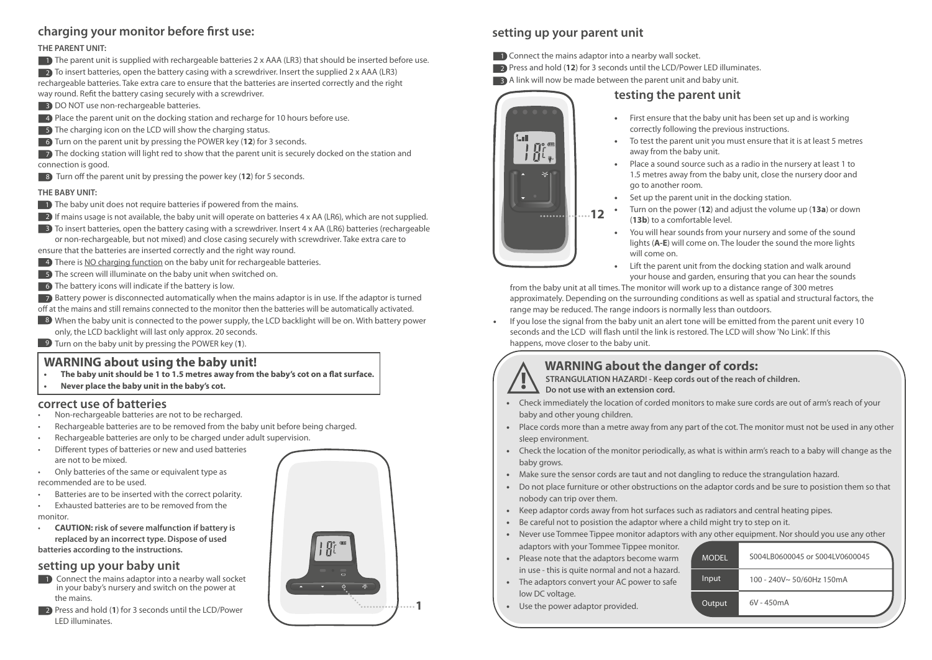### charging your monitor before first use:

#### **THE PARENT UNIT:**

**1** The parent unit is supplied with rechargeable batteries 2 x AAA (LR3) that should be inserted before use.

 $\Box$  2) To insert batteries, open the battery casing with a screwdriver. Insert the supplied 2 x AAA (LR3) rechargeable batteries. Take extra care to ensure that the batteries are inserted correctly and the right

- way round. Refit the battery casing securely with a screwdriver.
- **3** DO NOT use non-rechargeable batteries.
- **4** Place the parent unit on the docking station and recharge for 10 hours before use.
- **5** The charging icon on the LCD will show the charging status.
- **6** Turn on the parent unit by pressing the POWER key (12) for 3 seconds.

 $\rightarrow$  The docking station will light red to show that the parent unit is securely docked on the station and connection is good.

**8** Turn off the parent unit by pressing the power key (12) for 5 seconds.

#### **THE BABY UNIT:**

- **1** The baby unit does not require batteries if powered from the mains.
- $\bm{D}$  If mains usage is not available, the baby unit will operate on batteries 4 x AA (LR6), which are not supplied.

**3** To insert batteries, open the battery casing with a screwdriver. Insert 4 x AA (LR6) batteries (rechargeable or non-rechargeable, but not mixed) and close casing securely with screwdriver. Take extra care to

ensure that the batteries are inserted correctly and the right way round.

- **4** There is <u>NO charging function</u> on the baby unit for rechargeable batteries.
- **5** The screen will illuminate on the baby unit when switched on.
- 6 The battery icons will indicate if the battery is low.

**7** Battery power is disconnected automatically when the mains adaptor is in use. If the adaptor is turned off at the mains and still remains connected to the monitor then the batteries will be automatically activated.

- $\bullet$  When the baby unit is connected to the power supply, the LCD backlight will be on. With battery power only, the LCD backlight will last only approx. 20 seconds.
- **9** Turn on the baby unit by pressing the POWER key (1).

# **WARNING about using the baby unit!**

- The baby unit should be 1 to 1.5 metres away from the baby's cot on a flat surface.
- **Never place the baby unit in the baby's cot.**

# **correct use of batteries**<br>**correct use of batteries are**

- Non-rechargeable batteries are not to be recharged.
- Rechargeable batteries are to be removed from the baby unit before being charged.
- Rechargeable batteries are only to be charged under adult supervision.
- Different types of batteries or new and used batteries
- are not to be mixed. • Only batteries of the same or equivalent type as
- recommended are to be used.
- Batteries are to be inserted with the correct polarity.
- Exhausted batteries are to be removed from the

monitor.

• **CAUTION: risk of severe malfunction if battery is replaced by an incorrect type. Dispose of used batteries according to the instructions.**

### **setting up your baby unit**

- **1** Connect the mains adaptor into a nearby wall socket in your baby's nursery and switch on the power at the mains.
- **2** Press and hold (1) for 3 seconds until the LCD/Power LED illuminates.



### **setting up your parent unit**

**1** Connect the mains adaptor into a nearby wall socket.

- **2** Press and hold (12) for 3 seconds until the LCD/Power LED illuminates.
- **B** A link will now be made between the parent unit and baby unit.

### **testing the parent unit**

- First ensure that the baby unit has been set up and is working correctly following the previous instructions.
- To test the parent unit you must ensure that it is at least 5 metres away from the baby unit.
- Place a sound source such as a radio in the nursery at least 1 to 1.5 metres away from the baby unit, close the nursery door and go to another room.
- Set up the parent unit in the docking station.
- Turn on the power (**12**) and adjust the volume up (**13a**) or down (**13b**) to a comfortable level.
- You will hear sounds from your nursery and some of the sound lights (**A-E**) will come on. The louder the sound the more lights will come on.
- Lift the parent unit from the docking station and walk around your house and garden, ensuring that you can hear the sounds

 from the baby unit at all times. The monitor will work up to a distance range of 300 metres approximately. Depending on the surrounding conditions as well as spatial and structural factors, the range may be reduced. The range indoors is normally less than outdoors.

• If you lose the signal from the baby unit an alert tone will be emitted from the parent unit every 10 seconds and the LCD will flash until the link is restored. The LCD will show 'No Link'. If this happens, move closer to the baby unit.

### **WARNING about the danger of cords:**

 **STRANGULATION HAZARD! - Keep cords out of the reach of children. Do not use with an extension cord.**

- Check immediately the location of corded monitors to make sure cords are out of arm's reach of your baby and other young children.
- Place cords more than a metre away from any part of the cot. The monitor must not be used in any other sleep environment.
- Check the location of the monitor periodically, as what is within arm's reach to a baby will change as the baby grows.
- Make sure the sensor cords are taut and not dangling to reduce the strangulation hazard.
- Do not place furniture or other obstructions on the adaptor cords and be sure to posistion them so that nobody can trip over them.
- Keep adaptor cords away from hot surfaces such as radiators and central heating pipes.
- Be careful not to posistion the adaptor where a child might try to step on it.
- Never use Tommee Tippee monitor adaptors with any other equipment. Nor should you use any other adaptors with your Tommee Tippee monitor.
- Please note that the adaptors become warm in use - this is quite normal and not a hazard.
- The adaptors convert your AC power to safe low DC voltage.
- Use the power adaptor provided.





**!**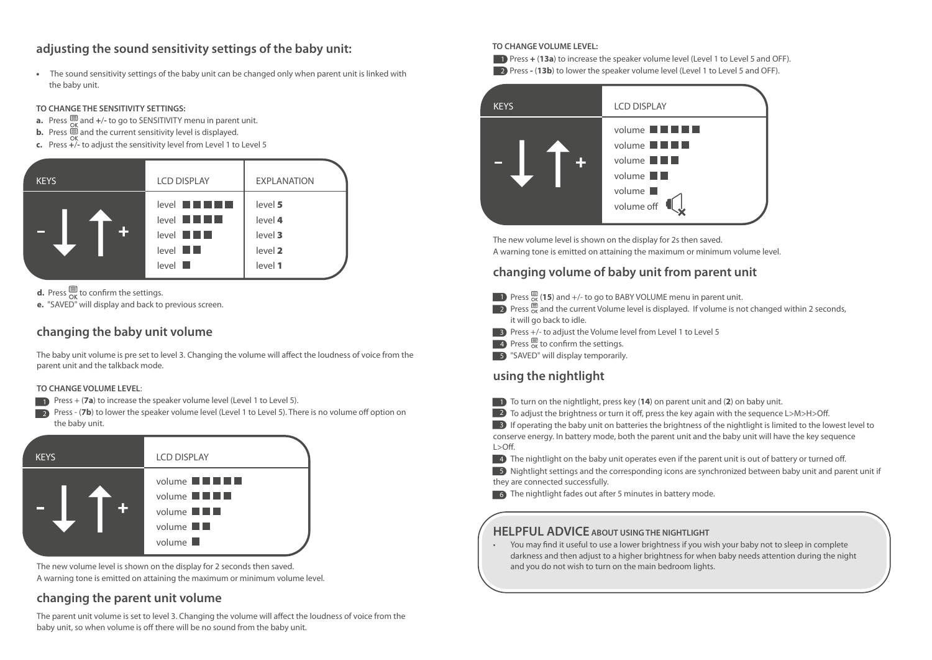### **adjusting the sound sensitivity settings of the baby unit:**

• The sound sensitivity settings of the baby unit can be changed only when parent unit is linked with the baby unit.

#### **TO CHANGE THE SENSITIVITY SETTINGS:**

- **a.** Press  $\mathbf{F}$  and  $+/-$  to go to SENSITIVITY menu in parent unit.
- **b.** Press  $\equiv$  and the current sensitivity level is displayed.
- **c.** Press **+**/**-** to adjust the sensitivity level from Level 1 to Level 5

| <b>KEYS</b>          | <b>LCD DISPLAY</b>                                                                                                                                       | <b>EXPLANATION</b>                                  |
|----------------------|----------------------------------------------------------------------------------------------------------------------------------------------------------|-----------------------------------------------------|
| $\ddot{\phantom{1}}$ | $level \blacksquare \blacksquare$<br>$level$ $\blacksquare$ $\blacksquare$<br>$level$ $\blacksquare$<br>$level$ $\blacksquare$<br>$level$ $\blacksquare$ | level 5<br>level 4<br>level 3<br>level 2<br>level 1 |

**d.** Press  $\overline{\mathsf{S}}$  to confirm the settings.

**e.** "SAVED" will display and back to previous screen.

### **changing the baby unit volume**

The baby unit volume is pre set to level 3. Changing the volume will affect the loudness of voice from the parent unit and the talkback mode.

#### **TO CHANGE VOLUME LEVEL**:

- **1** Press + (**7a**) to increase the speaker volume level (Level 1 to Level 5).
- 2 Press (**7b**) to lower the speaker volume level (Level 1 to Level 5). There is no volume off option on the baby unit.



The new volume level is shown on the display for 2 seconds then saved. A warning tone is emitted on attaining the maximum or minimum volume level.

### **changing the parent unit volume**

The parent unit volume is set to level 3. Changing the volume will affect the loudness of voice from the baby unit, so when volume is off there will be no sound from the baby unit.

#### **TO CHANGE VOLUME LEVEL:**

**1** Press **+ (13a)** to increase the speaker volume level (Level 1 to Level 5 and OFF).

**2** Press - (**13b**) to lower the speaker volume level (Level 1 to Level 5 and OFF).



The new volume level is shown on the display for 2s then saved. A warning tone is emitted on attaining the maximum or minimum volume level.

### **changing volume of baby unit from parent unit**

- **1** Press  $\frac{1}{\alpha}$  (15) and  $+/-$  to go to BABY VOLUME menu in parent unit.
- 2) Press  $\frac{1}{\alpha}$  and the current Volume level is displayed. If volume is not changed within 2 seconds, it will go back to idle.
- **B** Press +/- to adjust the Volume level from Level 1 to Level 5
- $\blacksquare$  Press  $\mathbb{R}^n$  to confirm the settings.
- 5 "SAVED" will display temporarily.

### **using the nightlight**

- **1** To turn on the nightlight, press key (14) on parent unit and (2) on baby unit.
- $\Box$  To adjust the brightness or turn it off, press the key again with the sequence L>M>H>Off.

**3** If operating the baby unit on batteries the brightness of the nightlight is limited to the lowest level to conserve energy. In battery mode, both the parent unit and the baby unit will have the key sequence L>Off.

 $\blacksquare$  The nightlight on the baby unit operates even if the parent unit is out of battery or turned off.

**5** Nightlight settings and the corresponding icons are synchronized between baby unit and parent unit if they are connected successfully.

6 The nightlight fades out after 5 minutes in battery mode.

### **HELPFUL ADVICE ABOUT USING THE NIGHTLIGHT**

• You may find it useful to use a lower brightness if you wish your baby not to sleep in complete darkness and then adjust to a higher brightness for when baby needs attention during the night and you do not wish to turn on the main bedroom lights.